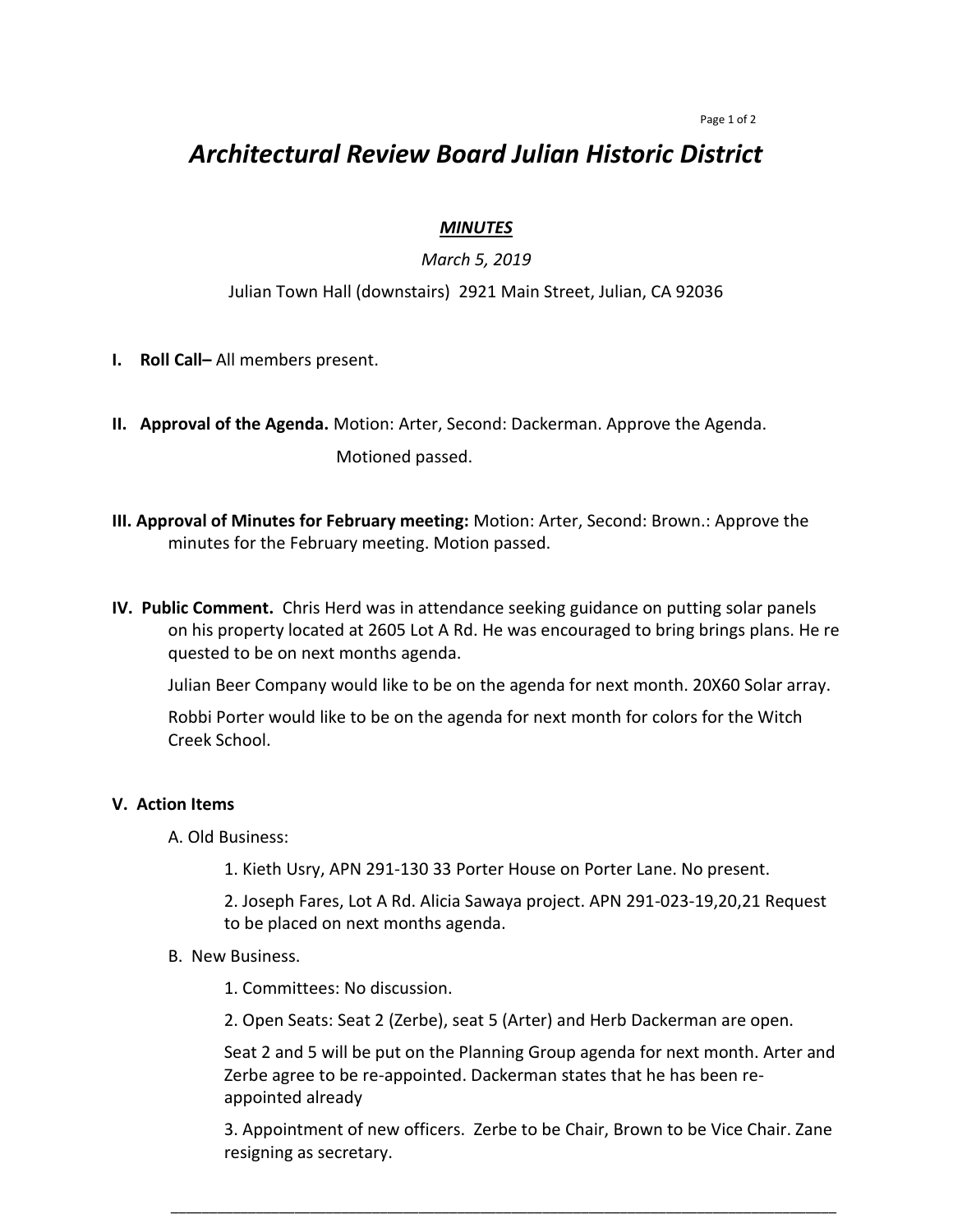#### Page 1 of 2

# *Architectural Review Board Julian Historic District*

## *MINUTES*

# *March 5, 2019*

## Julian Town Hall (downstairs) 2921 Main Street, Julian, CA 92036

- **I. Roll Call–** All members present.
- **II. Approval of the Agenda.** Motion: Arter, Second: Dackerman. Approve the Agenda. Motioned passed.
- **III. Approval of Minutes for February meeting:** Motion: Arter, Second: Brown.: Approve the minutes for the February meeting. Motion passed.
- **IV. Public Comment.** Chris Herd was in attendance seeking guidance on putting solar panels on his property located at 2605 Lot A Rd. He was encouraged to bring brings plans. He re quested to be on next months agenda.

Julian Beer Company would like to be on the agenda for next month. 20X60 Solar array.

Robbi Porter would like to be on the agenda for next month for colors for the Witch Creek School.

### **V. Action Items**

A. Old Business:

1. Kieth Usry, APN 291-130 33 Porter House on Porter Lane. No present.

2. Joseph Fares, Lot A Rd. Alicia Sawaya project. APN 291-023-19,20,21 Request to be placed on next months agenda.

B. New Business.

1. Committees: No discussion.

2. Open Seats: Seat 2 (Zerbe), seat 5 (Arter) and Herb Dackerman are open.

Seat 2 and 5 will be put on the Planning Group agenda for next month. Arter and Zerbe agree to be re-appointed. Dackerman states that he has been reappointed already

3. Appointment of new officers. Zerbe to be Chair, Brown to be Vice Chair. Zane resigning as secretary.

\_\_\_\_\_\_\_\_\_\_\_\_\_\_\_\_\_\_\_\_\_\_\_\_\_\_\_\_\_\_\_\_\_\_\_\_\_\_\_\_\_\_\_\_\_\_\_\_\_\_\_\_\_\_\_\_\_\_\_\_\_\_\_\_\_\_\_\_\_\_\_\_\_\_\_\_\_\_\_\_\_\_\_\_\_\_